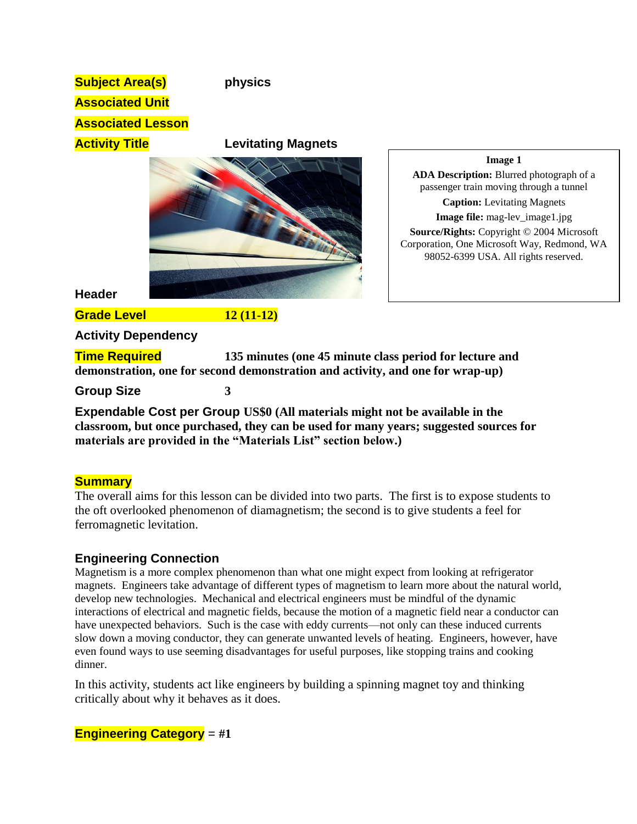| <b>Subject Area(s)</b><br><b>Associated Unit</b><br><b>Associated Lesson</b> | physics                                                                                                                                   |                                                                                                                                                                                                                                                                                                            |
|------------------------------------------------------------------------------|-------------------------------------------------------------------------------------------------------------------------------------------|------------------------------------------------------------------------------------------------------------------------------------------------------------------------------------------------------------------------------------------------------------------------------------------------------------|
| <b>Activity Title</b>                                                        | <b>Levitating Magnets</b>                                                                                                                 | Image 1<br>ADA Description: Blurred photograph of a<br>passenger train moving through a tunnel<br><b>Caption:</b> Levitating Magnets<br>Image file: mag-lev_image1.jpg<br>Source/Rights: Copyright © 2004 Microsoft<br>Corporation, One Microsoft Way, Redmond, WA<br>98052-6399 USA. All rights reserved. |
| <b>Header</b>                                                                |                                                                                                                                           |                                                                                                                                                                                                                                                                                                            |
| <b>Grade Level</b>                                                           | $12(11-12)$                                                                                                                               |                                                                                                                                                                                                                                                                                                            |
| <b>Activity Dependency</b>                                                   |                                                                                                                                           |                                                                                                                                                                                                                                                                                                            |
| <b>Time Required</b>                                                         | 135 minutes (one 45 minute class period for lecture and<br>demonstration, one for second demonstration and activity, and one for wrap-up) |                                                                                                                                                                                                                                                                                                            |
| <b>Group Size</b>                                                            | 3                                                                                                                                         |                                                                                                                                                                                                                                                                                                            |

**Expendable Cost per Group US\$0 (All materials might not be available in the classroom, but once purchased, they can be used for many years; suggested sources for materials are provided in the "Materials List" section below.)**

## **Summary**

The overall aims for this lesson can be divided into two parts. The first is to expose students to the oft overlooked phenomenon of diamagnetism; the second is to give students a feel for ferromagnetic levitation.

## **Engineering Connection**

Magnetism is a more complex phenomenon than what one might expect from looking at refrigerator magnets. Engineers take advantage of different types of magnetism to learn more about the natural world, develop new technologies. Mechanical and electrical engineers must be mindful of the dynamic interactions of electrical and magnetic fields, because the motion of a magnetic field near a conductor can have unexpected behaviors. Such is the case with eddy currents—not only can these induced currents slow down a moving conductor, they can generate unwanted levels of heating. Engineers, however, have even found ways to use seeming disadvantages for useful purposes, like stopping trains and cooking dinner.

In this activity, students act like engineers by building a spinning magnet toy and thinking critically about why it behaves as it does.

**Engineering Category** = **#1**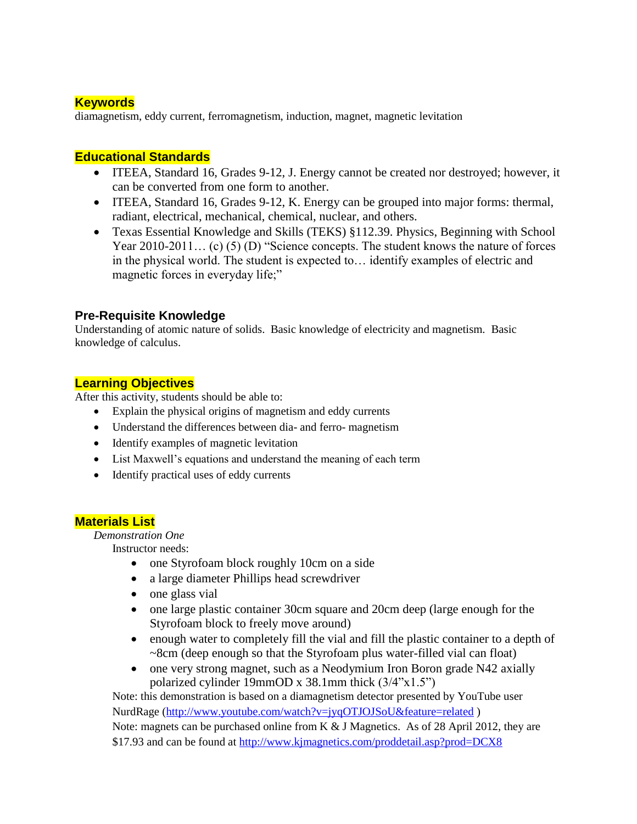### **Keywords**

diamagnetism, eddy current, ferromagnetism, induction, magnet, magnetic levitation

### **Educational Standards**

- ITEEA, Standard 16, Grades 9-12, J. Energy cannot be created nor destroyed; however, it can be converted from one form to another.
- ITEEA, Standard 16, Grades 9-12, K. Energy can be grouped into major forms: thermal, radiant, electrical, mechanical, chemical, nuclear, and others.
- Texas Essential Knowledge and Skills (TEKS) §112.39. Physics, Beginning with School Year 2010-2011... (c) (5) (D) "Science concepts. The student knows the nature of forces in the physical world. The student is expected to… identify examples of electric and magnetic forces in everyday life;"

### **Pre-Requisite Knowledge**

Understanding of atomic nature of solids. Basic knowledge of electricity and magnetism. Basic knowledge of calculus.

### **Learning Objectives**

After this activity, students should be able to:

- Explain the physical origins of magnetism and eddy currents
- Understand the differences between dia- and ferro- magnetism
- Identify examples of magnetic levitation
- List Maxwell's equations and understand the meaning of each term
- Identify practical uses of eddy currents

### **Materials List**

*Demonstration One*

Instructor needs:

- one Styrofoam block roughly 10cm on a side
- a large diameter Phillips head screwdriver
- $\bullet$  one glass vial
- one large plastic container 30cm square and 20cm deep (large enough for the Styrofoam block to freely move around)
- enough water to completely fill the vial and fill the plastic container to a depth of ~8cm (deep enough so that the Styrofoam plus water-filled vial can float)
- one very strong magnet, such as a Neodymium Iron Boron grade N42 axially polarized cylinder 19mmOD x 38.1mm thick (3/4"x1.5")

Note: this demonstration is based on a diamagnetism detector presented by YouTube user NurdRage [\(http://www.youtube.com/watch?v=jyqOTJOJSoU&feature=related](http://www.youtube.com/watch?v=jyqOTJOJSoU&feature=related) ) Note: magnets can be purchased online from K & J Magnetics. As of 28 April 2012, they are \$17.93 and can be found at<http://www.kjmagnetics.com/proddetail.asp?prod=DCX8>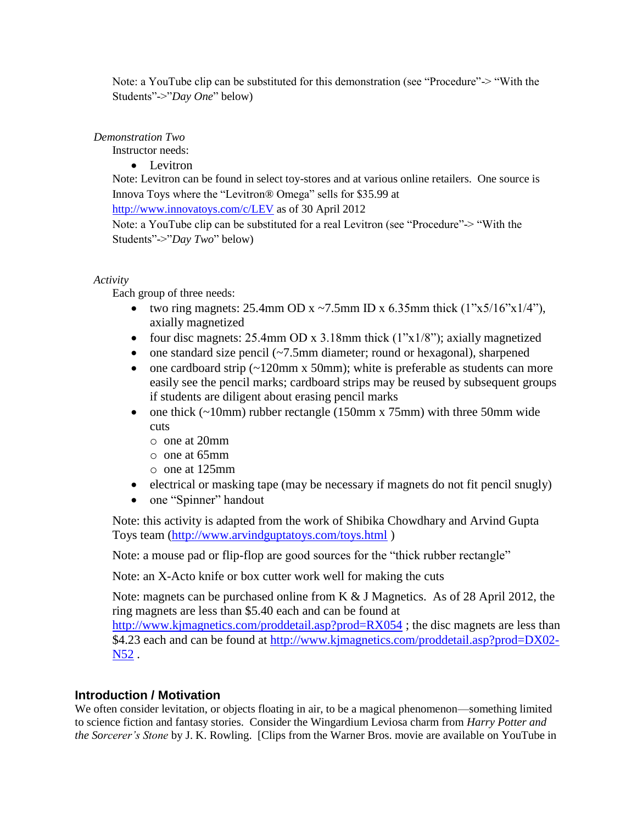Note: a YouTube clip can be substituted for this demonstration (see "Procedure"-> "With the Students"->"*Day One*" below)

#### *Demonstration Two*

Instructor needs:

• Levitron

Note: Levitron can be found in select toy-stores and at various online retailers. One source is Innova Toys where the "Levitron® Omega" sells for \$35.99 at

<http://www.innovatoys.com/c/LEV> as of 30 April 2012

Note: a YouTube clip can be substituted for a real Levitron (see "Procedure"-> "With the Students"->"*Day Two*" below)

*Activity*

Each group of three needs:

- two ring magnets:  $25.4$ mm OD x ~7.5mm ID x 6.35mm thick  $(1"x5/16"x1/4"$ , axially magnetized
- four disc magnets:  $25.4$ mm OD x  $3.18$ mm thick  $(1"x1/8")$ ; axially magnetized
- one standard size pencil  $\sim$  7.5mm diameter; round or hexagonal), sharpened
- one cardboard strip  $(-120 \text{mm} \times 50 \text{mm})$ ; white is preferable as students can more easily see the pencil marks; cardboard strips may be reused by subsequent groups if students are diligent about erasing pencil marks
- one thick  $(\sim 10 \text{mm})$  rubber rectangle (150mm x 75mm) with three 50mm wide cuts
	- o one at 20mm
	- o one at 65mm
	- o one at 125mm
- electrical or masking tape (may be necessary if magnets do not fit pencil snugly)
- one "Spinner" handout

Note: this activity is adapted from the work of Shibika Chowdhary and Arvind Gupta Toys team [\(http://www.arvindguptatoys.com/toys.html](http://www.arvindguptatoys.com/toys.html) )

Note: a mouse pad or flip-flop are good sources for the "thick rubber rectangle"

Note: an X-Acto knife or box cutter work well for making the cuts

Note: magnets can be purchased online from K & J Magnetics. As of 28 April 2012, the ring magnets are less than \$5.40 each and can be found at

<http://www.kjmagnetics.com/proddetail.asp?prod=RX054> ; the disc magnets are less than \$4.23 each and can be found at [http://www.kjmagnetics.com/proddetail.asp?prod=DX02-](http://www.kjmagnetics.com/proddetail.asp?prod=DX02-N52) [N52](http://www.kjmagnetics.com/proddetail.asp?prod=DX02-N52) .

## **Introduction / Motivation**

We often consider levitation, or objects floating in air, to be a magical phenomenon—something limited to science fiction and fantasy stories. Consider the Wingardium Leviosa charm from *Harry Potter and the Sorcerer's Stone* by J. K. Rowling. [Clips from the Warner Bros. movie are available on YouTube in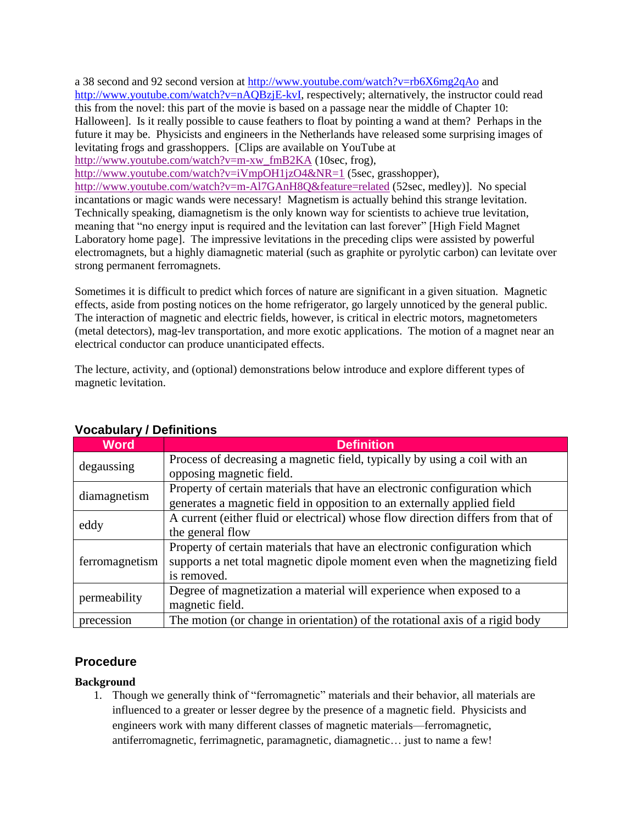a 38 second and 92 second version at<http://www.youtube.com/watch?v=rb6X6mg2qAo> and [http://www.youtube.com/watch?v=nAQBzjE-kvI,](http://www.youtube.com/watch?v=nAQBzjE-kvI) respectively; alternatively, the instructor could read this from the novel: this part of the movie is based on a passage near the middle of Chapter 10: Halloween]. Is it really possible to cause feathers to float by pointing a wand at them? Perhaps in the future it may be. Physicists and engineers in the Netherlands have released some surprising images of levitating frogs and grasshoppers. [Clips are available on YouTube at [http://www.youtube.com/watch?v=m-xw\\_fmB2KA](http://www.youtube.com/watch?v=m-xw_fmB2KA) (10sec, frog),

<http://www.youtube.com/watch?v=iVmpOH1jzO4&NR=1> (5sec, grasshopper),

<http://www.youtube.com/watch?v=m-Al7GAnH8Q&feature=related> (52sec, medley)]. No special incantations or magic wands were necessary! Magnetism is actually behind this strange levitation. Technically speaking, diamagnetism is the only known way for scientists to achieve true levitation, meaning that "no energy input is required and the levitation can last forever" [High Field Magnet Laboratory home page]. The impressive levitations in the preceding clips were assisted by powerful electromagnets, but a highly diamagnetic material (such as graphite or pyrolytic carbon) can levitate over strong permanent ferromagnets.

Sometimes it is difficult to predict which forces of nature are significant in a given situation. Magnetic effects, aside from posting notices on the home refrigerator, go largely unnoticed by the general public. The interaction of magnetic and electric fields, however, is critical in electric motors, magnetometers (metal detectors), mag-lev transportation, and more exotic applications. The motion of a magnet near an electrical conductor can produce unanticipated effects.

The lecture, activity, and (optional) demonstrations below introduce and explore different types of magnetic levitation.

| <b>YUGUULAL Y / DELIHILIULIS</b> |                                                                                  |  |
|----------------------------------|----------------------------------------------------------------------------------|--|
| <b>Word</b>                      | <b>Definition</b>                                                                |  |
| degaussing                       | Process of decreasing a magnetic field, typically by using a coil with an        |  |
|                                  | opposing magnetic field.                                                         |  |
| diamagnetism                     | Property of certain materials that have an electronic configuration which        |  |
|                                  | generates a magnetic field in opposition to an externally applied field          |  |
| eddy                             | A current (either fluid or electrical) whose flow direction differs from that of |  |
|                                  | the general flow                                                                 |  |
| ferromagnetism                   | Property of certain materials that have an electronic configuration which        |  |
|                                  | supports a net total magnetic dipole moment even when the magnetizing field      |  |
|                                  | is removed.                                                                      |  |
| permeability                     | Degree of magnetization a material will experience when exposed to a             |  |
|                                  | magnetic field.                                                                  |  |
| precession                       | The motion (or change in orientation) of the rotational axis of a rigid body     |  |

## **Vocabulary / Definitions**

## **Procedure**

### **Background**

1. Though we generally think of "ferromagnetic" materials and their behavior, all materials are influenced to a greater or lesser degree by the presence of a magnetic field. Physicists and engineers work with many different classes of magnetic materials—ferromagnetic, antiferromagnetic, ferrimagnetic, paramagnetic, diamagnetic… just to name a few!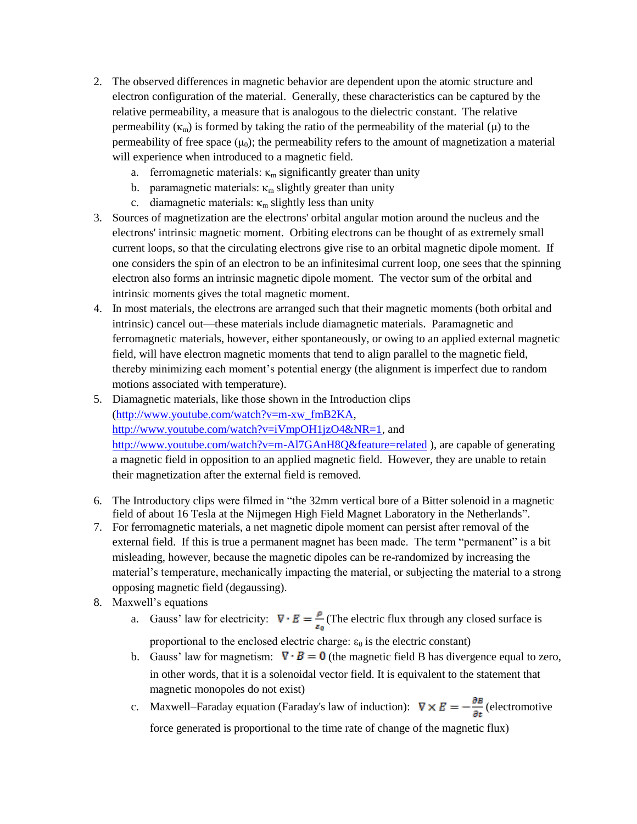- 2. The observed differences in magnetic behavior are dependent upon the atomic structure and electron configuration of the material. Generally, these characteristics can be captured by the relative permeability, a measure that is analogous to the dielectric constant. The relative permeability ( $\kappa_m$ ) is formed by taking the ratio of the permeability of the material ( $\mu$ ) to the permeability of free space  $(\mu_0)$ ; the permeability refers to the amount of magnetization a material will experience when introduced to a magnetic field.
	- a. ferromagnetic materials:  $\kappa_m$  significantly greater than unity
	- b. paramagnetic materials:  $\kappa_m$  slightly greater than unity
	- c. diamagnetic materials:  $\kappa_m$  slightly less than unity
- 3. Sources of magnetization are the electrons' orbital angular motion around the nucleus and the electrons' intrinsic magnetic moment. Orbiting electrons can be thought of as extremely small current loops, so that the circulating electrons give rise to an orbital magnetic dipole moment. If one considers the spin of an electron to be an infinitesimal current loop, one sees that the spinning electron also forms an intrinsic magnetic dipole moment. The vector sum of the orbital and intrinsic moments gives the total magnetic moment.
- 4. In most materials, the electrons are arranged such that their magnetic moments (both orbital and intrinsic) cancel out—these materials include diamagnetic materials. Paramagnetic and ferromagnetic materials, however, either spontaneously, or owing to an applied external magnetic field, will have electron magnetic moments that tend to align parallel to the magnetic field, thereby minimizing each moment's potential energy (the alignment is imperfect due to random motions associated with temperature).
- 5. Diamagnetic materials, like those shown in the Introduction clips [\(http://www.youtube.com/watch?v=m-xw\\_fmB2KA,](http://www.youtube.com/watch?v=m-xw_fmB2KA) [http://www.youtube.com/watch?v=iVmpOH1jzO4&NR=1,](http://www.youtube.com/watch?v=iVmpOH1jzO4&NR=1) and <http://www.youtube.com/watch?v=m-Al7GAnH8Q&feature=related> ), are capable of generating a magnetic field in opposition to an applied magnetic field. However, they are unable to retain their magnetization after the external field is removed.
- 6. The Introductory clips were filmed in "the 32mm vertical bore of a Bitter solenoid in a magnetic field of about 16 Tesla at the Nijmegen High Field Magnet Laboratory in the Netherlands".
- 7. For ferromagnetic materials, a net magnetic dipole moment can persist after removal of the external field. If this is true a permanent magnet has been made. The term "permanent" is a bit misleading, however, because the magnetic dipoles can be re-randomized by increasing the material's temperature, mechanically impacting the material, or subjecting the material to a strong opposing magnetic field (degaussing).
- 8. Maxwell's equations
	- a. Gauss' law for electricity:  $\nabla \cdot E = \frac{\rho}{\epsilon_0}$  (The electric flux through any closed surface is proportional to the enclosed electric charge:  $\varepsilon_0$  is the electric constant)
	- b. Gauss' law for magnetism:  $\nabla \cdot \mathbf{B} = \mathbf{0}$  (the magnetic field B has divergence equal to zero, in other words, that it is a solenoidal vector field. It is equivalent to the statement that magnetic monopoles do not exist)
	- c. Maxwell–Faraday equation (Faraday's law of induction):  $\nabla \times E = -\frac{\partial E}{\partial t}$  (electromotive force generated is proportional to the time rate of change of the magnetic flux)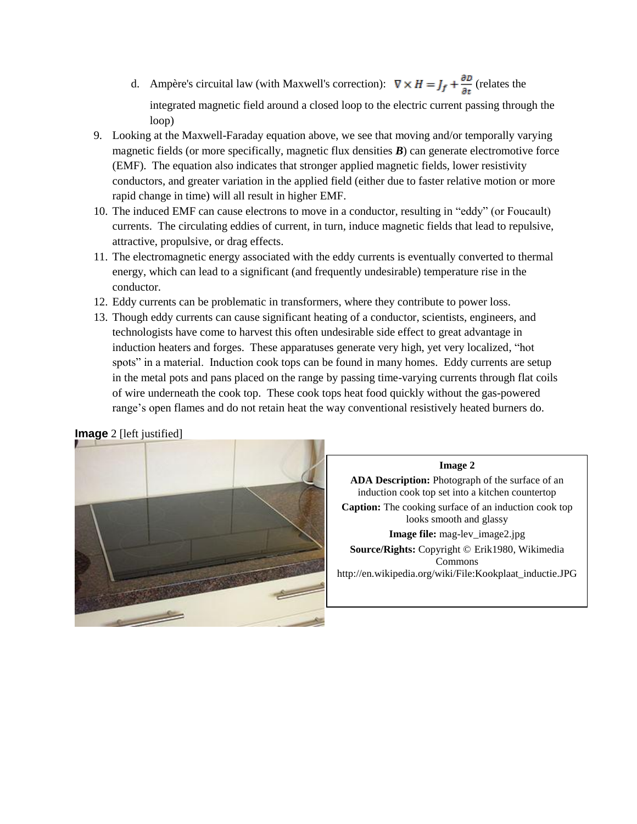- d. Ampère's circuital law (with Maxwell's correction):  $\nabla \times H = J_f + \frac{\partial D}{\partial t}$  (relates the integrated magnetic field around a closed loop to the electric current passing through the loop)
- 9. Looking at the Maxwell-Faraday equation above, we see that moving and/or temporally varying magnetic fields (or more specifically, magnetic flux densities *B*) can generate electromotive force (EMF). The equation also indicates that stronger applied magnetic fields, lower resistivity conductors, and greater variation in the applied field (either due to faster relative motion or more rapid change in time) will all result in higher EMF.
- 10. The induced EMF can cause electrons to move in a conductor, resulting in "eddy" (or Foucault) currents. The circulating eddies of current, in turn, induce magnetic fields that lead to repulsive, attractive, propulsive, or drag effects.
- 11. The electromagnetic energy associated with the eddy currents is eventually converted to thermal energy, which can lead to a significant (and frequently undesirable) temperature rise in the conductor.
- 12. Eddy currents can be problematic in transformers, where they contribute to power loss.
- 13. Though eddy currents can cause significant heating of a conductor, scientists, engineers, and technologists have come to harvest this often undesirable side effect to great advantage in induction heaters and forges. These apparatuses generate very high, yet very localized, "hot spots" in a material. Induction cook tops can be found in many homes. Eddy currents are setup in the metal pots and pans placed on the range by passing time-varying currents through flat coils of wire underneath the cook top. These cook tops heat food quickly without the gas-powered range's open flames and do not retain heat the way conventional resistively heated burners do.

**Image** 2 [left justified]



#### **Image 2**

**ADA Description:** Photograph of the surface of an induction cook top set into a kitchen countertop **Caption:** The cooking surface of an induction cook top looks smooth and glassy **Image file:** mag-lev image2.jpg **Source/Rights:** Copyright © Erik1980, Wikimedia Commons

http://en.wikipedia.org/wiki/File:Kookplaat\_inductie.JPG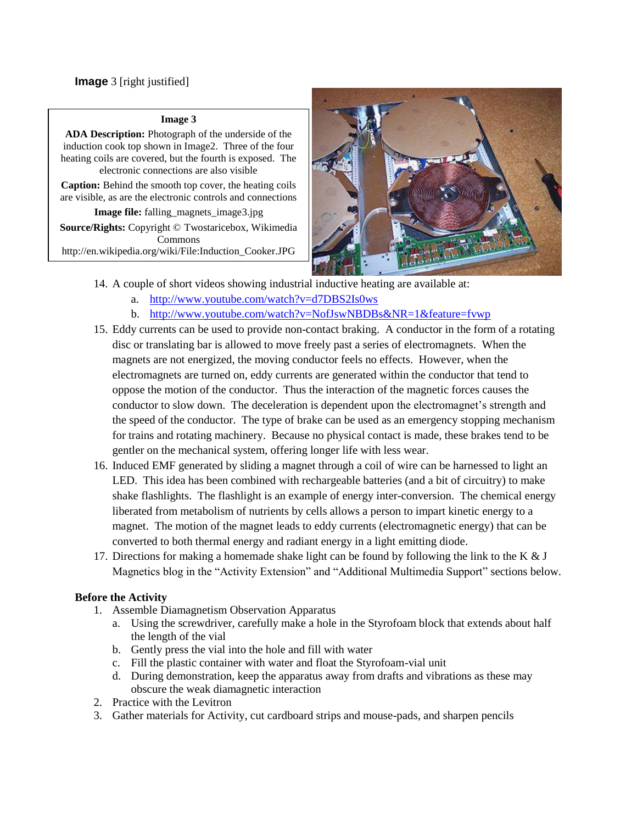#### **Image 3**

**ADA Description:** Photograph of the underside of the induction cook top shown in Image2. Three of the four heating coils are covered, but the fourth is exposed. The electronic connections are also visible

**Caption:** Behind the smooth top cover, the heating coils are visible, as are the electronic controls and connections

**Image file:** falling\_magnets\_image3.jpg **Source/Rights:** Copyright © Twostaricebox, Wikimedia Commons

http://en.wikipedia.org/wiki/File:Induction\_Cooker.JPG



- 14. A couple of short videos showing industrial inductive heating are available at:
	- a. <http://www.youtube.com/watch?v=d7DBS2Is0ws>
	- b. <http://www.youtube.com/watch?v=NofJswNBDBs&NR=1&feature=fvwp>
- 15. Eddy currents can be used to provide non-contact braking. A conductor in the form of a rotating disc or translating bar is allowed to move freely past a series of electromagnets. When the magnets are not energized, the moving conductor feels no effects. However, when the electromagnets are turned on, eddy currents are generated within the conductor that tend to oppose the motion of the conductor. Thus the interaction of the magnetic forces causes the conductor to slow down. The deceleration is dependent upon the electromagnet's strength and the speed of the conductor. The type of brake can be used as an emergency stopping mechanism for trains and rotating machinery. Because no physical contact is made, these brakes tend to be gentler on the mechanical system, offering longer life with less wear.
- 16. Induced EMF generated by sliding a magnet through a coil of wire can be harnessed to light an LED. This idea has been combined with rechargeable batteries (and a bit of circuitry) to make shake flashlights. The flashlight is an example of energy inter-conversion. The chemical energy liberated from metabolism of nutrients by cells allows a person to impart kinetic energy to a magnet. The motion of the magnet leads to eddy currents (electromagnetic energy) that can be converted to both thermal energy and radiant energy in a light emitting diode.
- 17. Directions for making a homemade shake light can be found by following the link to the K  $&J$ Magnetics blog in the "Activity Extension" and "Additional Multimedia Support" sections below.

### **Before the Activity**

- 1. Assemble Diamagnetism Observation Apparatus
	- a. Using the screwdriver, carefully make a hole in the Styrofoam block that extends about half the length of the vial
	- b. Gently press the vial into the hole and fill with water
	- c. Fill the plastic container with water and float the Styrofoam-vial unit
	- d. During demonstration, keep the apparatus away from drafts and vibrations as these may obscure the weak diamagnetic interaction
- 2. Practice with the Levitron
- 3. Gather materials for Activity, cut cardboard strips and mouse-pads, and sharpen pencils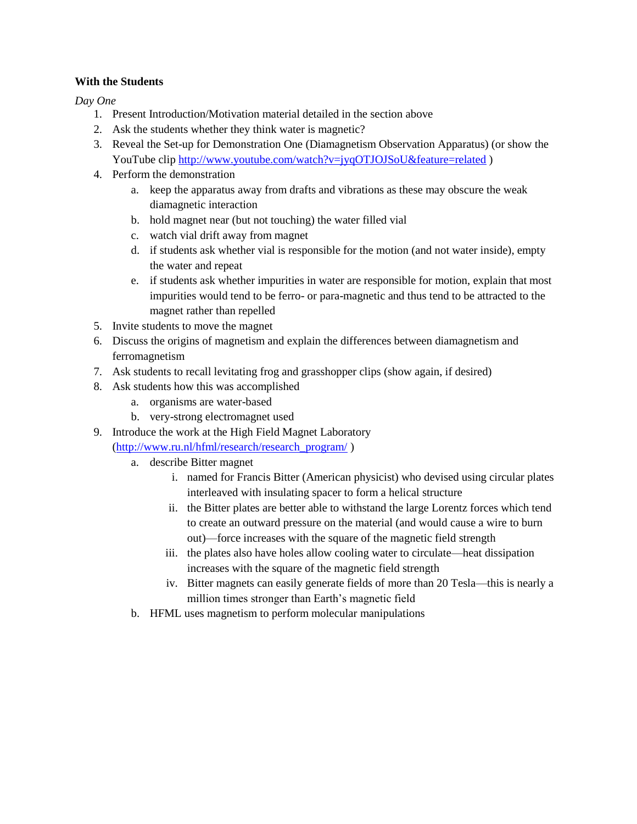### **With the Students**

*Day One*

- 1. Present Introduction/Motivation material detailed in the section above
- 2. Ask the students whether they think water is magnetic?
- 3. Reveal the Set-up for Demonstration One (Diamagnetism Observation Apparatus) (or show the YouTube clip<http://www.youtube.com/watch?v=jyqOTJOJSoU&feature=related> )
- 4. Perform the demonstration
	- a. keep the apparatus away from drafts and vibrations as these may obscure the weak diamagnetic interaction
	- b. hold magnet near (but not touching) the water filled vial
	- c. watch vial drift away from magnet
	- d. if students ask whether vial is responsible for the motion (and not water inside), empty the water and repeat
	- e. if students ask whether impurities in water are responsible for motion, explain that most impurities would tend to be ferro- or para-magnetic and thus tend to be attracted to the magnet rather than repelled
- 5. Invite students to move the magnet
- 6. Discuss the origins of magnetism and explain the differences between diamagnetism and ferromagnetism
- 7. Ask students to recall levitating frog and grasshopper clips (show again, if desired)
- 8. Ask students how this was accomplished
	- a. organisms are water-based
	- b. very-strong electromagnet used
- 9. Introduce the work at the High Field Magnet Laboratory

[\(http://www.ru.nl/hfml/research/research\\_program/](http://www.ru.nl/hfml/research/research_program/) )

- a. describe Bitter magnet
	- i. named for Francis Bitter (American physicist) who devised using circular plates interleaved with insulating spacer to form a helical structure
	- ii. the Bitter plates are better able to withstand the large Lorentz forces which tend to create an outward pressure on the material (and would cause a wire to burn out)—force increases with the square of the magnetic field strength
	- iii. the plates also have holes allow cooling water to circulate—heat dissipation increases with the square of the magnetic field strength
	- iv. Bitter magnets can easily generate fields of more than 20 Tesla—this is nearly a million times stronger than Earth's magnetic field
- b. HFML uses magnetism to perform molecular manipulations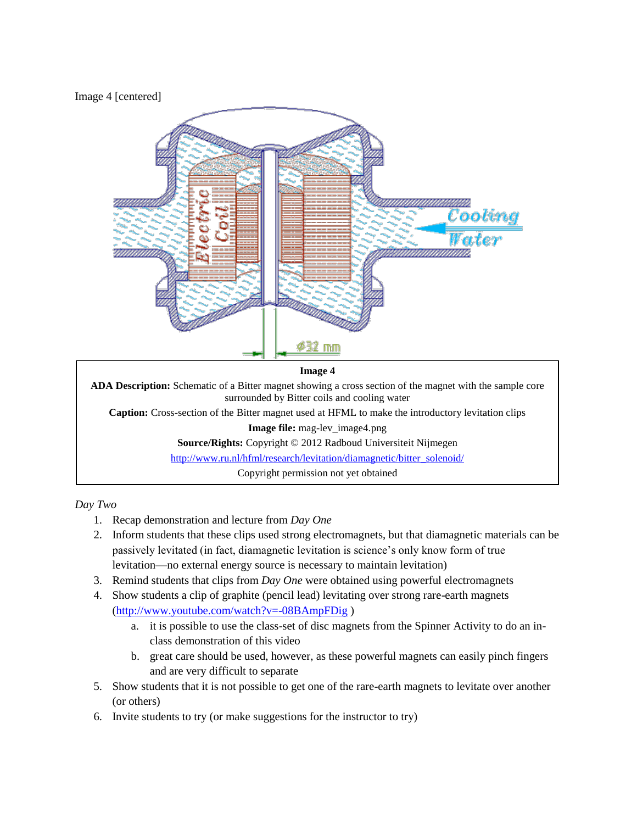### Image 4 [centered]



#### **Image 4**

**ADA Description:** Schematic of a Bitter magnet showing a cross section of the magnet with the sample core surrounded by Bitter coils and cooling water

**Caption:** Cross-section of the Bitter magnet used at HFML to make the introductory levitation clips

**Image file:** mag-lev\_image4.png

**Source/Rights:** Copyright © 2012 Radboud Universiteit Nijmegen

[http://www.ru.nl/hfml/research/levitation/diamagnetic/bitter\\_solenoid/](http://www.ru.nl/hfml/research/levitation/diamagnetic/bitter_solenoid/)

Copyright permission not yet obtained

*Day Two*

- 1. Recap demonstration and lecture from *Day One*
- 2. Inform students that these clips used strong electromagnets, but that diamagnetic materials can be passively levitated (in fact, diamagnetic levitation is science's only know form of true levitation—no external energy source is necessary to maintain levitation)
- 3. Remind students that clips from *Day One* were obtained using powerful electromagnets
- 4. Show students a clip of graphite (pencil lead) levitating over strong rare-earth magnets [\(http://www.youtube.com/watch?v=-08BAmpFDig](http://www.youtube.com/watch?v=-08BAmpFDig) )
	- a. it is possible to use the class-set of disc magnets from the Spinner Activity to do an inclass demonstration of this video
	- b. great care should be used, however, as these powerful magnets can easily pinch fingers and are very difficult to separate
- 5. Show students that it is not possible to get one of the rare-earth magnets to levitate over another (or others)
- 6. Invite students to try (or make suggestions for the instructor to try)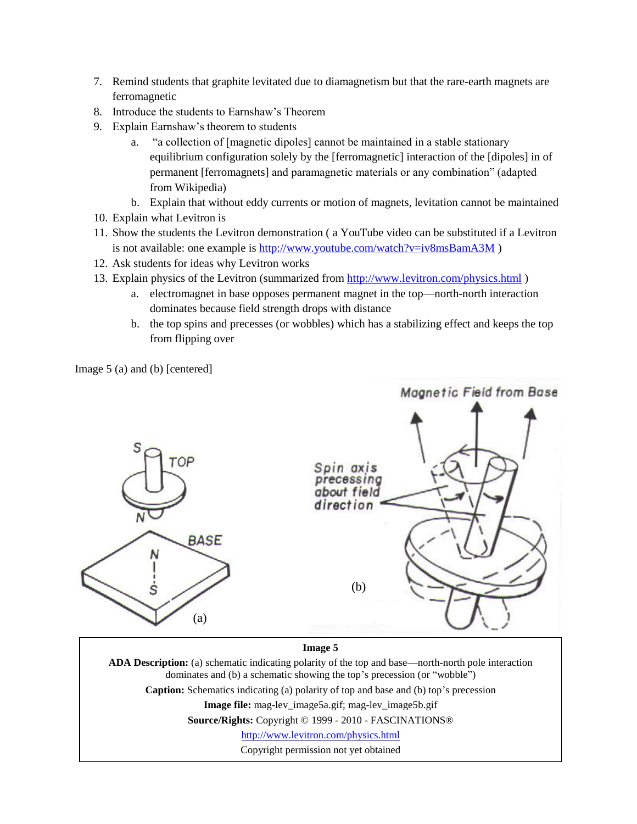- 7. Remind students that graphite levitated due to diamagnetism but that the rare-earth magnets are ferromagnetic
- 8. Introduce the students to Earnshaw's Theorem
- 9. Explain Earnshaw's theorem to students
	- a. "a collection of [magnetic dipoles] cannot be maintained in a stable stationary equilibrium configuration solely by the [ferromagnetic] interaction of the [dipoles] in of permanent [ferromagnets] and paramagnetic materials or any combination" (adapted from Wikipedia)
	- b. Explain that without eddy currents or motion of magnets, levitation cannot be maintained
- 10. Explain what Levitron is
- 11. Show the students the Levitron demonstration ( a YouTube video can be substituted if a Levitron is not available: one example is<http://www.youtube.com/watch?v=iv8msBamA3M>)
- 12. Ask students for ideas why Levitron works
- 13. Explain physics of the Levitron (summarized from<http://www.levitron.com/physics.html> )
	- a. electromagnet in base opposes permanent magnet in the top—north-north interaction dominates because field strength drops with distance
	- b. the top spins and precesses (or wobbles) which has a stabilizing effect and keeps the top from flipping over

Image 5 (a) and (b) [centered]



dominates and (b) a schematic showing the top's precession (or "wobble")

**Caption:** Schematics indicating (a) polarity of top and base and (b) top's precession

**Image file:** mag-lev image5a.gif; mag-lev image5b.gif

**Source/Rights:** Copyright © 1999 - 2010 - FASCINATIONS®

<http://www.levitron.com/physics.html>

Copyright permission not yet obtained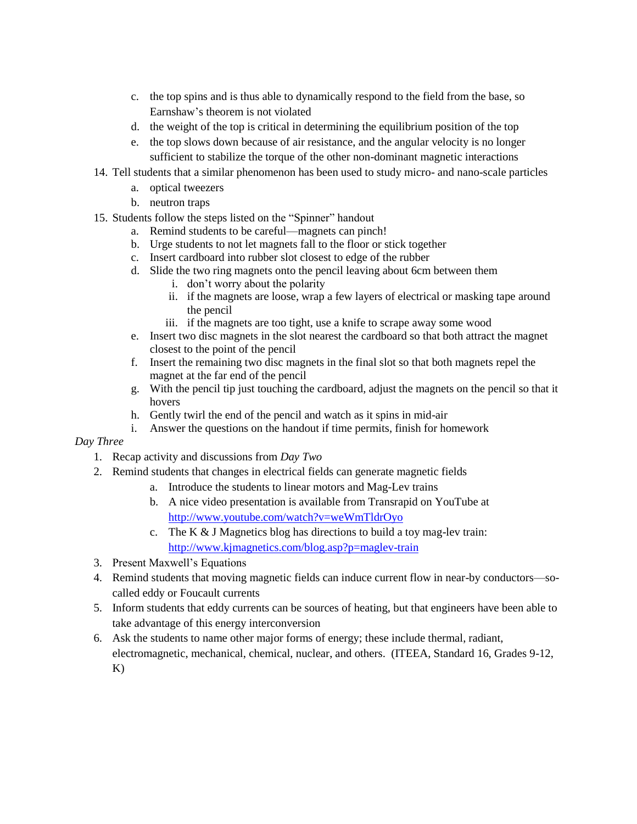- c. the top spins and is thus able to dynamically respond to the field from the base, so Earnshaw's theorem is not violated
- d. the weight of the top is critical in determining the equilibrium position of the top
- e. the top slows down because of air resistance, and the angular velocity is no longer sufficient to stabilize the torque of the other non-dominant magnetic interactions
- 14. Tell students that a similar phenomenon has been used to study micro- and nano-scale particles
	- a. optical tweezers
	- b. neutron traps
- 15. Students follow the steps listed on the "Spinner" handout
	- a. Remind students to be careful—magnets can pinch!
	- b. Urge students to not let magnets fall to the floor or stick together
	- c. Insert cardboard into rubber slot closest to edge of the rubber
	- d. Slide the two ring magnets onto the pencil leaving about 6cm between them
		- i. don't worry about the polarity
		- ii. if the magnets are loose, wrap a few layers of electrical or masking tape around the pencil
		- iii. if the magnets are too tight, use a knife to scrape away some wood
	- e. Insert two disc magnets in the slot nearest the cardboard so that both attract the magnet closest to the point of the pencil
	- f. Insert the remaining two disc magnets in the final slot so that both magnets repel the magnet at the far end of the pencil
	- g. With the pencil tip just touching the cardboard, adjust the magnets on the pencil so that it hovers
	- h. Gently twirl the end of the pencil and watch as it spins in mid-air
	- i. Answer the questions on the handout if time permits, finish for homework

#### *Day Three*

- 1. Recap activity and discussions from *Day Two*
- 2. Remind students that changes in electrical fields can generate magnetic fields
	- a. Introduce the students to linear motors and Mag-Lev trains
	- b. A nice video presentation is available from Transrapid on YouTube at <http://www.youtube.com/watch?v=weWmTldrOyo>
	- c. The K & J Magnetics blog has directions to build a toy mag-lev train: <http://www.kjmagnetics.com/blog.asp?p=maglev-train>
- 3. Present Maxwell's Equations
- 4. Remind students that moving magnetic fields can induce current flow in near-by conductors—socalled eddy or Foucault currents
- 5. Inform students that eddy currents can be sources of heating, but that engineers have been able to take advantage of this energy interconversion
- 6. Ask the students to name other major forms of energy; these include thermal, radiant, electromagnetic, mechanical, chemical, nuclear, and others. (ITEEA, Standard 16, Grades 9-12, K)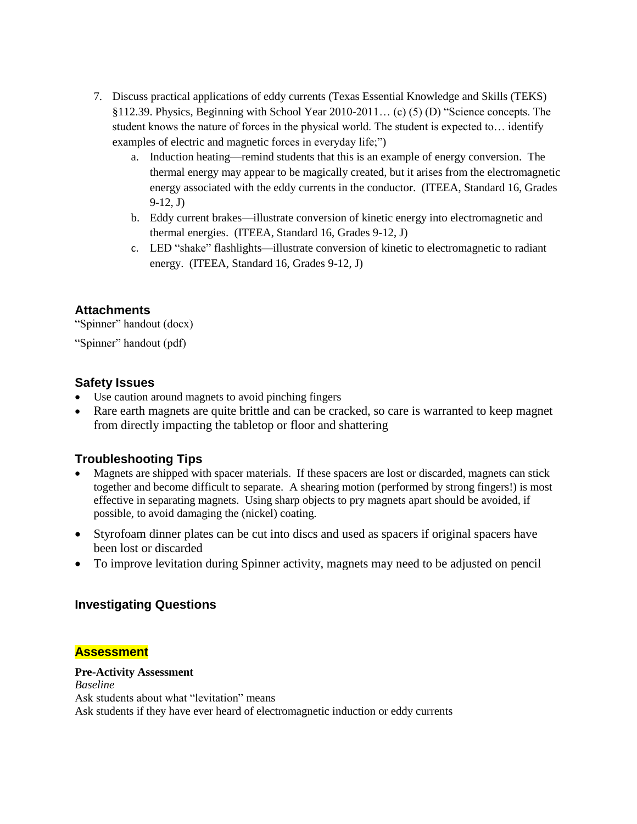- 7. Discuss practical applications of eddy currents (Texas Essential Knowledge and Skills (TEKS) §112.39. Physics, Beginning with School Year 2010-2011… (c) (5) (D) "Science concepts. The student knows the nature of forces in the physical world. The student is expected to… identify examples of electric and magnetic forces in everyday life;")
	- a. Induction heating—remind students that this is an example of energy conversion. The thermal energy may appear to be magically created, but it arises from the electromagnetic energy associated with the eddy currents in the conductor. (ITEEA, Standard 16, Grades 9-12, J)
	- b. Eddy current brakes—illustrate conversion of kinetic energy into electromagnetic and thermal energies. (ITEEA, Standard 16, Grades 9-12, J)
	- c. LED "shake" flashlights—illustrate conversion of kinetic to electromagnetic to radiant energy. (ITEEA, Standard 16, Grades 9-12, J)

### **Attachments**

"Spinner" handout (docx)

"Spinner" handout (pdf)

### **Safety Issues**

- Use caution around magnets to avoid pinching fingers
- Rare earth magnets are quite brittle and can be cracked, so care is warranted to keep magnet from directly impacting the tabletop or floor and shattering

## **Troubleshooting Tips**

- Magnets are shipped with spacer materials. If these spacers are lost or discarded, magnets can stick together and become difficult to separate. A shearing motion (performed by strong fingers!) is most effective in separating magnets. Using sharp objects to pry magnets apart should be avoided, if possible, to avoid damaging the (nickel) coating.
- Styrofoam dinner plates can be cut into discs and used as spacers if original spacers have been lost or discarded
- To improve levitation during Spinner activity, magnets may need to be adjusted on pencil

## **Investigating Questions**

#### **Assessment**

#### **Pre-Activity Assessment**

*Baseline* Ask students about what "levitation" means Ask students if they have ever heard of electromagnetic induction or eddy currents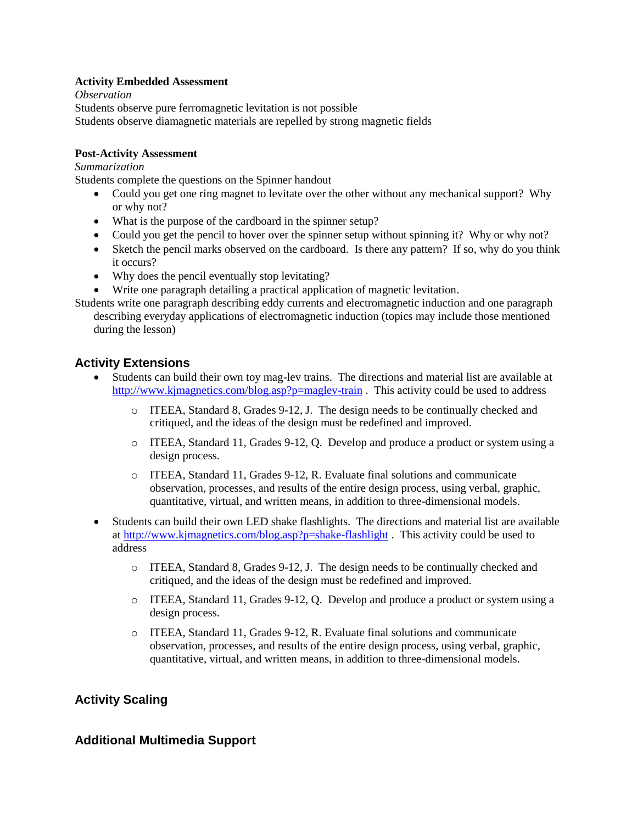#### **Activity Embedded Assessment**

*Observation* Students observe pure ferromagnetic levitation is not possible Students observe diamagnetic materials are repelled by strong magnetic fields

#### **Post-Activity Assessment**

*Summarization*

Students complete the questions on the Spinner handout

- Could you get one ring magnet to levitate over the other without any mechanical support? Why or why not?
- What is the purpose of the cardboard in the spinner setup?
- Could you get the pencil to hover over the spinner setup without spinning it? Why or why not?
- Sketch the pencil marks observed on the cardboard. Is there any pattern? If so, why do you think it occurs?
- Why does the pencil eventually stop levitating?
- Write one paragraph detailing a practical application of magnetic levitation.
- Students write one paragraph describing eddy currents and electromagnetic induction and one paragraph describing everyday applications of electromagnetic induction (topics may include those mentioned during the lesson)

## **Activity Extensions**

- Students can build their own toy mag-lev trains. The directions and material list are available at <http://www.kjmagnetics.com/blog.asp?p=maglev-train> . This activity could be used to address
	- o ITEEA, Standard 8, Grades 9-12, J. The design needs to be continually checked and critiqued, and the ideas of the design must be redefined and improved.
	- o ITEEA, Standard 11, Grades 9-12, Q. Develop and produce a product or system using a design process.
	- o ITEEA, Standard 11, Grades 9-12, R. Evaluate final solutions and communicate observation, processes, and results of the entire design process, using verbal, graphic, quantitative, virtual, and written means, in addition to three-dimensional models.
- Students can build their own LED shake flashlights. The directions and material list are available at<http://www.kjmagnetics.com/blog.asp?p=shake-flashlight> . This activity could be used to address
	- o ITEEA, Standard 8, Grades 9-12, J. The design needs to be continually checked and critiqued, and the ideas of the design must be redefined and improved.
	- o ITEEA, Standard 11, Grades 9-12, Q. Develop and produce a product or system using a design process.
	- o ITEEA, Standard 11, Grades 9-12, R. Evaluate final solutions and communicate observation, processes, and results of the entire design process, using verbal, graphic, quantitative, virtual, and written means, in addition to three-dimensional models.

## **Activity Scaling**

## **Additional Multimedia Support**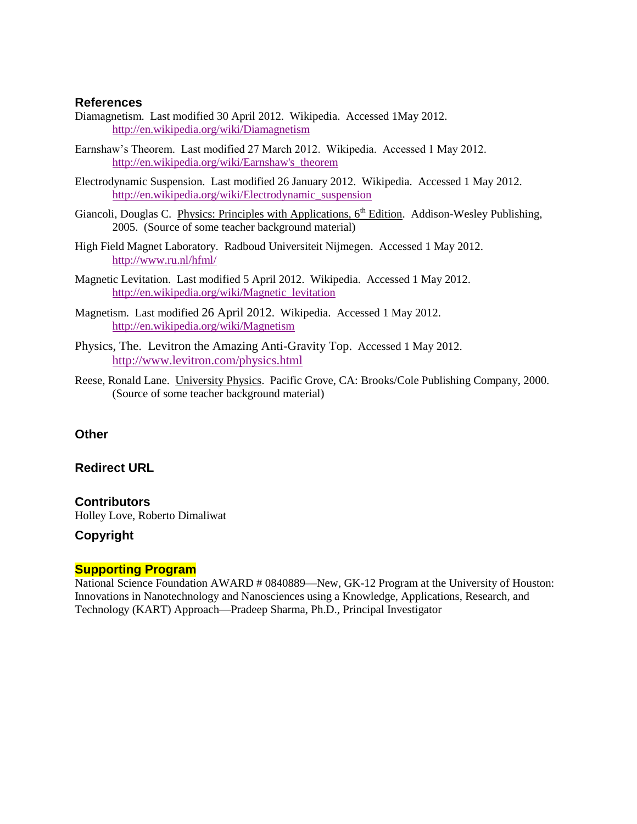#### **References**

- Diamagnetism. Last modified 30 April 2012. Wikipedia. Accessed 1May 2012. <http://en.wikipedia.org/wiki/Diamagnetism>
- Earnshaw's Theorem. Last modified 27 March 2012. Wikipedia. Accessed 1 May 2012. [http://en.wikipedia.org/wiki/Earnshaw's\\_theorem](http://en.wikipedia.org/wiki/Earnshaw)
- Electrodynamic Suspension. Last modified 26 January 2012. Wikipedia. Accessed 1 May 2012. [http://en.wikipedia.org/wiki/Electrodynamic\\_suspension](http://en.wikipedia.org/wiki/Electrodynamic_suspension)
- Giancoli, Douglas C. Physics: Principles with Applications,  $6<sup>th</sup>$  Edition. Addison-Wesley Publishing, 2005. (Source of some teacher background material)
- High Field Magnet Laboratory. Radboud Universiteit Nijmegen. Accessed 1 May 2012. <http://www.ru.nl/hfml/>
- Magnetic Levitation. Last modified 5 April 2012. Wikipedia. Accessed 1 May 2012. [http://en.wikipedia.org/wiki/Magnetic\\_levitation](http://en.wikipedia.org/wiki/Magnetic_levitation)
- Magnetism. Last modified 26 April 2012. Wikipedia. Accessed 1 May 2012. <http://en.wikipedia.org/wiki/Magnetism>
- Physics, The. Levitron the Amazing Anti-Gravity Top. Accessed 1 May 2012. <http://www.levitron.com/physics.html>
- Reese, Ronald Lane. University Physics. Pacific Grove, CA: Brooks/Cole Publishing Company, 2000. (Source of some teacher background material)

#### **Other**

#### **Redirect URL**

**Contributors** Holley Love, Roberto Dimaliwat

### **Copyright**

#### **Supporting Program**

National Science Foundation AWARD # 0840889—New, GK-12 Program at the University of Houston: Innovations in Nanotechnology and Nanosciences using a Knowledge, Applications, Research, and Technology (KART) Approach—Pradeep Sharma, Ph.D., Principal Investigator